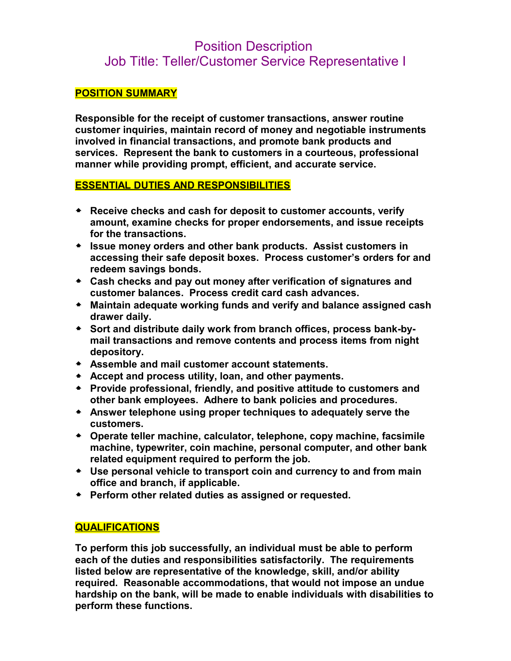# Position Description Job Title: Teller/Customer Service Representative I

## **POSITION SUMMARY**

**Responsible for the receipt of customer transactions, answer routine customer inquiries, maintain record of money and negotiable instruments involved in financial transactions, and promote bank products and services. Represent the bank to customers in a courteous, professional manner while providing prompt, efficient, and accurate service.** 

# **ESSENTIAL DUTIES AND RESPONSIBILITIES**

- **Receive checks and cash for deposit to customer accounts, verify amount, examine checks for proper endorsements, and issue receipts for the transactions.**
- **Issue money orders and other bank products. Assist customers in accessing their safe deposit boxes. Process customer's orders for and redeem savings bonds.**
- **Cash checks and pay out money after verification of signatures and customer balances. Process credit card cash advances.**
- **Maintain adequate working funds and verify and balance assigned cash drawer daily.**
- **Sort and distribute daily work from branch offices, process bank-bymail transactions and remove contents and process items from night depository.**
- **Assemble and mail customer account statements.**
- **Accept and process utility, loan, and other payments.**
- **Provide professional, friendly, and positive attitude to customers and other bank employees. Adhere to bank policies and procedures.**
- **Answer telephone using proper techniques to adequately serve the customers.**
- **Operate teller machine, calculator, telephone, copy machine, facsimile machine, typewriter, coin machine, personal computer, and other bank related equipment required to perform the job.**
- **Use personal vehicle to transport coin and currency to and from main office and branch, if applicable.**
- **Perform other related duties as assigned or requested.**

# **QUALIFICATIONS**

**To perform this job successfully, an individual must be able to perform each of the duties and responsibilities satisfactorily. The requirements listed below are representative of the knowledge, skill, and/or ability required. Reasonable accommodations, that would not impose an undue hardship on the bank, will be made to enable individuals with disabilities to perform these functions.**